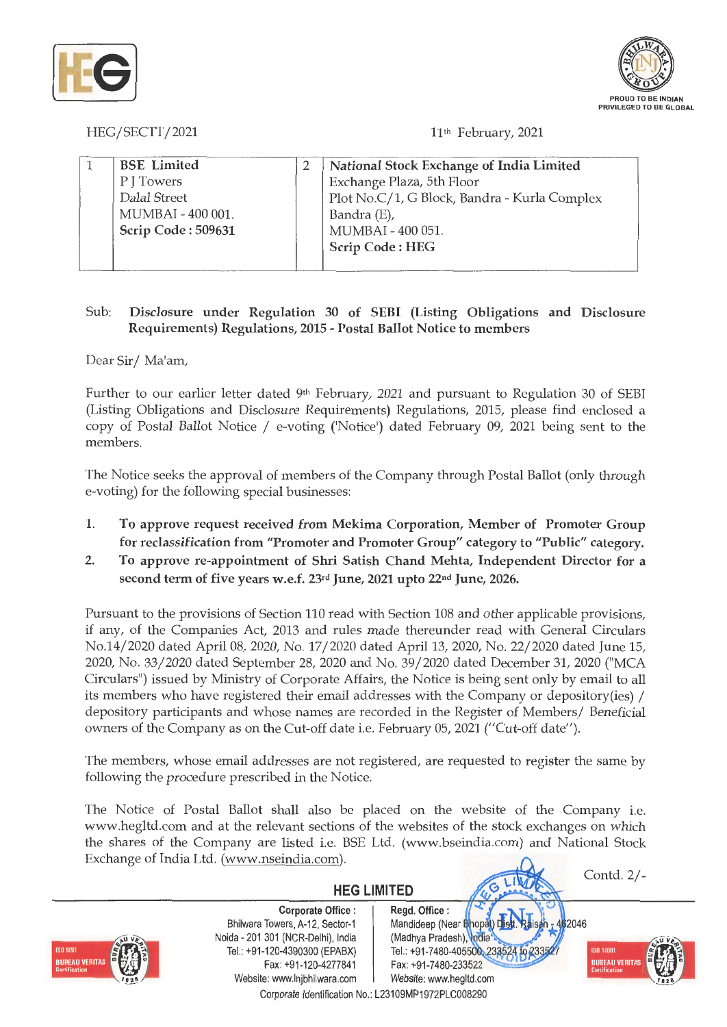



HEG/SECTT/2021 11th February, 2021

| Exchange Plaza, 5th Floor                    |
|----------------------------------------------|
| Plot No.C/1, G Block, Bandra - Kurla Complex |
| Bandra (E),                                  |
| MUMBAI - 400 051.                            |
| <b>Scrip Code: HEG</b>                       |
|                                              |

# Sub: **Disclosure under Regulation 30 of SEBI (Listing Obligations and Disclosure Requirements) Regulations, 2015** - **Postal Ballot Notice to members**

Dear Sir/ Ma'am,

Further to our earlier letter dated  $9<sup>th</sup>$  February, 2021 and pursuant to Regulation 30 of SEBI (Listing Obligations and Disclosure Requirements) Regulations, 2015, please find enclosed a copy of Postal Ballot Notice / e-voting ('Notice') dated February 09, 2021 being sent to the members.

The Notice seeks the approval of members of the Company through Postal Ballot (only through e-voting) for the following special businesses:

- 1. **To approve request received from Mekima Corporation, Member of Promoter Group for reclassification from "Promoter and Promoter Group" category to "Public" category.**
- **2. To approve re-appointment of Shri Satish Chand Mehta, Independent Director for a second term of five years w.e.f.** 23rd **June, 2021 upto 22nd June, 2026.**

Pursuant to the provisions of Section 110 read with Section 108 and other applicable provisions, if any, of the Companies Act, 2013 and rules made thereunder read with General Circulars No.14/2020 dated April 08, 2020, No. 17 / 2020 dated April 13, 2020, No. 22/ 2020 dated June 15, 2020, No. 33/2020 dated September 28, 2020 and No. 39/ 2020 dated December 31, 2020 ("MCA Circulars") issued by Ministry of Corporate Affairs, the Notice is being sent only by email to all its members who have registered their email addresses with the Company or depository(ies) / depository participants and whose names are recorded in the Register of Members/ Beneficial owners of the Company as on the Cut-off date i.e. February 05, 2021 ("Cut-off date").

The members, whose email addresses are not registered, are requested to register the same by following the procedure prescribed in the Notice.

The Notice of Postal Ballot shall also be placed on the website of the Company i.e. www.hegltd.com and at the relevant sections of the websites of the stock exchanges on which the shares of the Company are listed i.e. BSE Ltd. (www.bseindia.com) and National Stock Exchange of India Ltd. (www.nseindia.com).

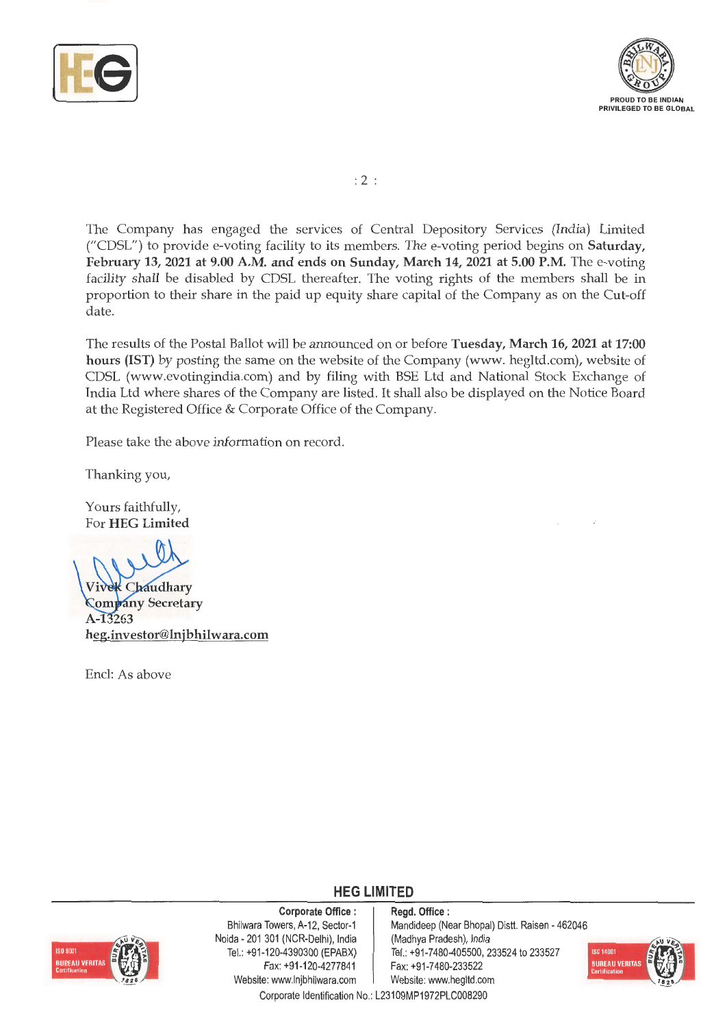



:2

The Company has engaged the services of Central Depository Services (India) Limited ("CDSL") to provide e-voting facility to its members. The e-voting period begins on **Saturday,**  February 13, 2021 at 9.00 A.M. and ends on Sunday, March 14, 2021 at 5.00 P.M. The e-voting facility shall be disabled by CDSL thereafter. The voting rights of the members shall be in proportion to their share in the paid up equity share capital of the Company as on the Cut-off date.

The results of the Postal Ballot will be announced on or before **Tuesday, March 16, 2021 at 17:00**  hours (IST) by posting the same on the website of the Company (www. hegltd.com), website of CDSL (www.evotingindia.com) and by filing with BSE Ltd and National Stock Exchange of India Ltd where shares of the Company are listed. It shall also be displayed on the Notice Board at the Registered Office & Corporate Office of the Company.

Please take the above information on record.

Thanking you,

Yours faithfully, For **HEG Limited** 

**Chaudhary Company Secretary** A-13263 **heg.investor@lnjbhilwara.com** 

Encl: As above

**HEG LIMITED** 

**Corporate Office** :



Bhilwara Towers, A-12, Sector-1 Noida - 201 301 (NCR-Delhi), India Tel.: +91-120-4390300 (EPABX) Fax: +91-120-4277841 Website: www.lnjbhilwara.com | Website: www.hegitd.com

**Regd. Office** : Mandideep (Near Bhopal) Distt. Raisen - 462046 (Madhya Pradesh), India Tel.: +91-7480-405500, 233524 to 233527 Fax: +91 -7480-233522



Corporate Identification No.: L23109MP1972PLC008290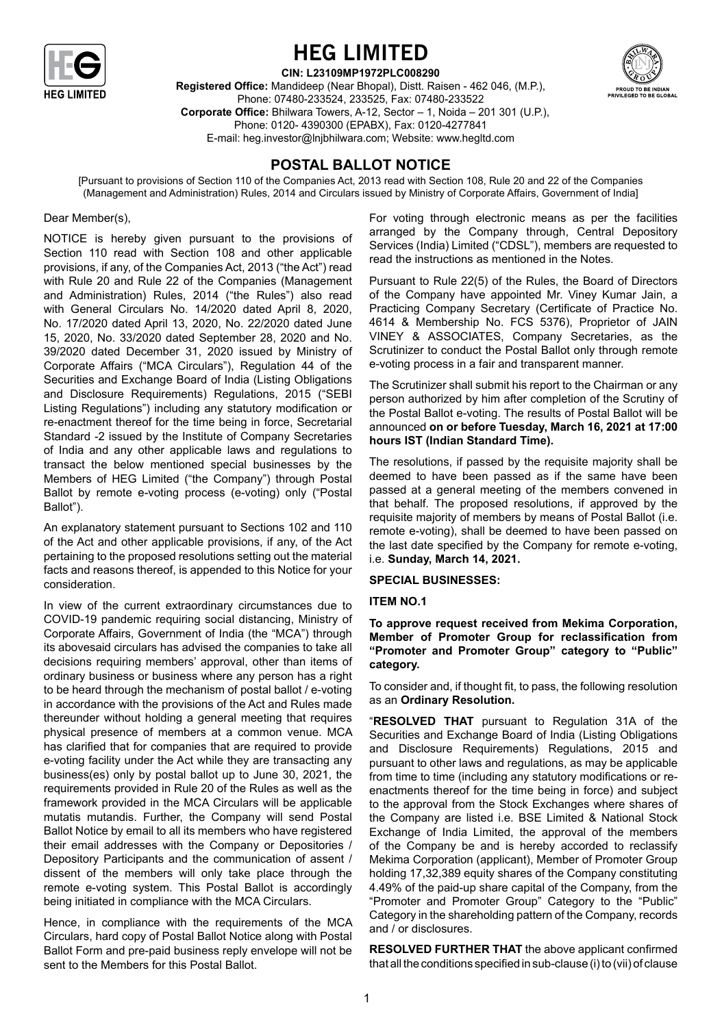

# **HEG Limited**

**CIN: L23109MP1972PLC008290** 



**Registered Office:** Mandideep (Near Bhopal), Distt. Raisen - 462 046, (M.P.), Phone: 07480-233524, 233525, Fax: 07480-233522 **Corporate Office:** Bhilwara Towers, A-12, Sector – 1, Noida – 201 301 (U.P.), Phone: 0120- 4390300 (EPABX), Fax: 0120-4277841 E-mail: heg.investor@lnjbhilwara.com; Website: www.hegltd.com

# **POSTAL BALLOT NOTICE**

[Pursuant to provisions of Section 110 of the Companies Act, 2013 read with Section 108, Rule 20 and 22 of the Companies (Management and Administration) Rules, 2014 and Circulars issued by Ministry of Corporate Affairs, Government of India]

# Dear Member(s),

NOTICE is hereby given pursuant to the provisions of Section 110 read with Section 108 and other applicable provisions, if any, of the Companies Act, 2013 ("the Act") read with Rule 20 and Rule 22 of the Companies (Management and Administration) Rules, 2014 ("the Rules") also read with General Circulars No. 14/2020 dated April 8, 2020, No. 17/2020 dated April 13, 2020, No. 22/2020 dated June 15, 2020, No. 33/2020 dated September 28, 2020 and No. 39/2020 dated December 31, 2020 issued by Ministry of Corporate Affairs ("MCA Circulars"), Regulation 44 of the Securities and Exchange Board of India (Listing Obligations and Disclosure Requirements) Regulations, 2015 ("SEBI Listing Regulations") including any statutory modification or re-enactment thereof for the time being in force, Secretarial Standard -2 issued by the Institute of Company Secretaries of India and any other applicable laws and regulations to transact the below mentioned special businesses by the Members of HEG Limited ("the Company") through Postal Ballot by remote e-voting process (e-voting) only ("Postal Ballot").

An explanatory statement pursuant to Sections 102 and 110 of the Act and other applicable provisions, if any, of the Act pertaining to the proposed resolutions setting out the material facts and reasons thereof, is appended to this Notice for your consideration.

In view of the current extraordinary circumstances due to COVID-19 pandemic requiring social distancing, Ministry of Corporate Affairs, Government of India (the "MCA") through its abovesaid circulars has advised the companies to take all decisions requiring members' approval, other than items of ordinary business or business where any person has a right to be heard through the mechanism of postal ballot / e-voting in accordance with the provisions of the Act and Rules made thereunder without holding a general meeting that requires physical presence of members at a common venue. MCA has clarified that for companies that are required to provide e-voting facility under the Act while they are transacting any business(es) only by postal ballot up to June 30, 2021, the requirements provided in Rule 20 of the Rules as well as the framework provided in the MCA Circulars will be applicable mutatis mutandis. Further, the Company will send Postal Ballot Notice by email to all its members who have registered their email addresses with the Company or Depositories / Depository Participants and the communication of assent / dissent of the members will only take place through the remote e-voting system. This Postal Ballot is accordingly being initiated in compliance with the MCA Circulars.

Hence, in compliance with the requirements of the MCA Circulars, hard copy of Postal Ballot Notice along with Postal Ballot Form and pre-paid business reply envelope will not be sent to the Members for this Postal Ballot.

For voting through electronic means as per the facilities arranged by the Company through, Central Depository Services (India) Limited ("CDSL"), members are requested to read the instructions as mentioned in the Notes.

Pursuant to Rule 22(5) of the Rules, the Board of Directors of the Company have appointed Mr. Viney Kumar Jain, a Practicing Company Secretary (Certificate of Practice No. 4614 & Membership No. FCS 5376), Proprietor of JAIN VINEY & ASSOCIATES, Company Secretaries, as the Scrutinizer to conduct the Postal Ballot only through remote e-voting process in a fair and transparent manner.

The Scrutinizer shall submit his report to the Chairman or any person authorized by him after completion of the Scrutiny of the Postal Ballot e-voting. The results of Postal Ballot will be announced **on or before Tuesday, March 16, 2021 at 17:00 hours IST (Indian Standard Time).** 

The resolutions, if passed by the requisite majority shall be deemed to have been passed as if the same have been passed at a general meeting of the members convened in that behalf. The proposed resolutions, if approved by the requisite majority of members by means of Postal Ballot (i.e. remote e-voting), shall be deemed to have been passed on the last date specified by the Company for remote e-voting, i.e. **Sunday, March 14, 2021.**

# **SPECIAL BUSINESSES:**

# **ITEM NO.1**

**To approve request received from Mekima Corporation, Member of Promoter Group for reclassification from "Promoter and Promoter Group" category to "Public" category.**

To consider and, if thought fit, to pass, the following resolution as an **Ordinary Resolution.**

"**RESOLVED THAT** pursuant to Regulation 31A of the Securities and Exchange Board of India (Listing Obligations and Disclosure Requirements) Regulations, 2015 and pursuant to other laws and regulations, as may be applicable from time to time (including any statutory modifications or reenactments thereof for the time being in force) and subject to the approval from the Stock Exchanges where shares of the Company are listed i.e. BSE Limited & National Stock Exchange of India Limited, the approval of the members of the Company be and is hereby accorded to reclassify Mekima Corporation (applicant), Member of Promoter Group holding 17,32,389 equity shares of the Company constituting 4.49% of the paid-up share capital of the Company, from the "Promoter and Promoter Group" Category to the "Public" Category in the shareholding pattern of the Company, records and / or disclosures.

**RESOLVED FURTHER THAT** the above applicant confirmed that all the conditions specified in sub-clause (i) to (vii) of clause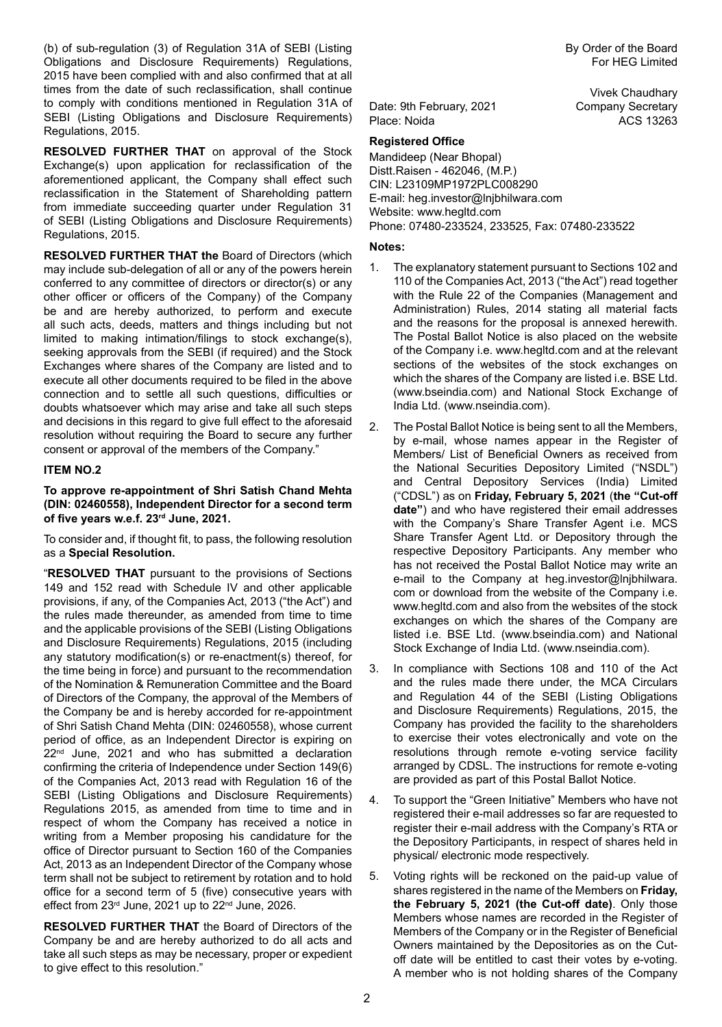(b) of sub-regulation (3) of Regulation 31A of SEBI (Listing Obligations and Disclosure Requirements) Regulations, 2015 have been complied with and also confirmed that at all times from the date of such reclassification, shall continue to comply with conditions mentioned in Regulation 31A of SEBI (Listing Obligations and Disclosure Requirements) Regulations, 2015.

**RESOLVED FURTHER THAT** on approval of the Stock Exchange(s) upon application for reclassification of the aforementioned applicant, the Company shall effect such reclassification in the Statement of Shareholding pattern from immediate succeeding quarter under Regulation 31 of SEBI (Listing Obligations and Disclosure Requirements) Regulations, 2015.

**RESOLVED FURTHER THAT the** Board of Directors (which may include sub-delegation of all or any of the powers herein conferred to any committee of directors or director(s) or any other officer or officers of the Company) of the Company be and are hereby authorized, to perform and execute all such acts, deeds, matters and things including but not limited to making intimation/filings to stock exchange(s), seeking approvals from the SEBI (if required) and the Stock Exchanges where shares of the Company are listed and to execute all other documents required to be filed in the above connection and to settle all such questions, difficulties or doubts whatsoever which may arise and take all such steps and decisions in this regard to give full effect to the aforesaid resolution without requiring the Board to secure any further consent or approval of the members of the Company."

# **ITEM NO.2**

**To approve re-appointment of Shri Satish Chand Mehta (DIN: 02460558), Independent Director for a second term of five years w.e.f. 23rd June, 2021.**

To consider and, if thought fit, to pass, the following resolution as a **Special Resolution.**

"**RESOLVED THAT** pursuant to the provisions of Sections 149 and 152 read with Schedule IV and other applicable provisions, if any, of the Companies Act, 2013 ("the Act") and the rules made thereunder, as amended from time to time and the applicable provisions of the SEBI (Listing Obligations and Disclosure Requirements) Regulations, 2015 (including any statutory modification(s) or re-enactment(s) thereof, for the time being in force) and pursuant to the recommendation of the Nomination & Remuneration Committee and the Board of Directors of the Company, the approval of the Members of the Company be and is hereby accorded for re-appointment of Shri Satish Chand Mehta (DIN: 02460558), whose current period of office, as an Independent Director is expiring on 22<sup>nd</sup> June, 2021 and who has submitted a declaration confirming the criteria of Independence under Section 149(6) of the Companies Act, 2013 read with Regulation 16 of the SEBI (Listing Obligations and Disclosure Requirements) Regulations 2015, as amended from time to time and in respect of whom the Company has received a notice in writing from a Member proposing his candidature for the office of Director pursuant to Section 160 of the Companies Act, 2013 as an Independent Director of the Company whose term shall not be subject to retirement by rotation and to hold office for a second term of 5 (five) consecutive years with effect from 23<sup>rd</sup> June, 2021 up to 22<sup>nd</sup> June, 2026.

**RESOLVED FURTHER THAT** the Board of Directors of the Company be and are hereby authorized to do all acts and take all such steps as may be necessary, proper or expedient to give effect to this resolution."

Vivek Chaudhary

Date: 9th February, 2021 Company Secretary Place: Noida ACS 13263

# **Registered Office**

Mandideep (Near Bhopal) Distt.Raisen - 462046, (M.P.) CIN: L23109MP1972PLC008290 E-mail: heg.investor@lnjbhilwara.com Website: www.hegltd.com Phone: 07480-233524, 233525, Fax: 07480-233522

#### **Notes:**

- 1. The explanatory statement pursuant to Sections 102 and 110 of the Companies Act, 2013 ("the Act") read together with the Rule 22 of the Companies (Management and Administration) Rules, 2014 stating all material facts and the reasons for the proposal is annexed herewith. The Postal Ballot Notice is also placed on the website of the Company i.e. www.hegltd.com and at the relevant sections of the websites of the stock exchanges on which the shares of the Company are listed i.e. BSE Ltd. (www.bseindia.com) and National Stock Exchange of India Ltd. (www.nseindia.com).
- 2. The Postal Ballot Notice is being sent to all the Members, by e-mail, whose names appear in the Register of Members/ List of Beneficial Owners as received from the National Securities Depository Limited ("NSDL") and Central Depository Services (India) Limited ("CDSL") as on **Friday, February 5, 2021** (**the "Cut-off date"**) and who have registered their email addresses with the Company's Share Transfer Agent i.e. MCS Share Transfer Agent Ltd. or Depository through the respective Depository Participants. Any member who has not received the Postal Ballot Notice may write an e-mail to the Company at heg.investor@lnjbhilwara. com or download from the website of the Company i.e. www.hegltd.com and also from the websites of the stock exchanges on which the shares of the Company are listed i.e. BSE Ltd. (www.bseindia.com) and National Stock Exchange of India Ltd. (www.nseindia.com).
- 3. In compliance with Sections 108 and 110 of the Act and the rules made there under, the MCA Circulars and Regulation 44 of the SEBI (Listing Obligations and Disclosure Requirements) Regulations, 2015, the Company has provided the facility to the shareholders to exercise their votes electronically and vote on the resolutions through remote e-voting service facility arranged by CDSL. The instructions for remote e-voting are provided as part of this Postal Ballot Notice.
- 4. To support the "Green Initiative" Members who have not registered their e-mail addresses so far are requested to register their e-mail address with the Company's RTA or the Depository Participants, in respect of shares held in physical/ electronic mode respectively.
- 5. Voting rights will be reckoned on the paid-up value of shares registered in the name of the Members on **Friday, the February 5, 2021 (the Cut-off date)**. Only those Members whose names are recorded in the Register of Members of the Company or in the Register of Beneficial Owners maintained by the Depositories as on the Cutoff date will be entitled to cast their votes by e-voting. A member who is not holding shares of the Company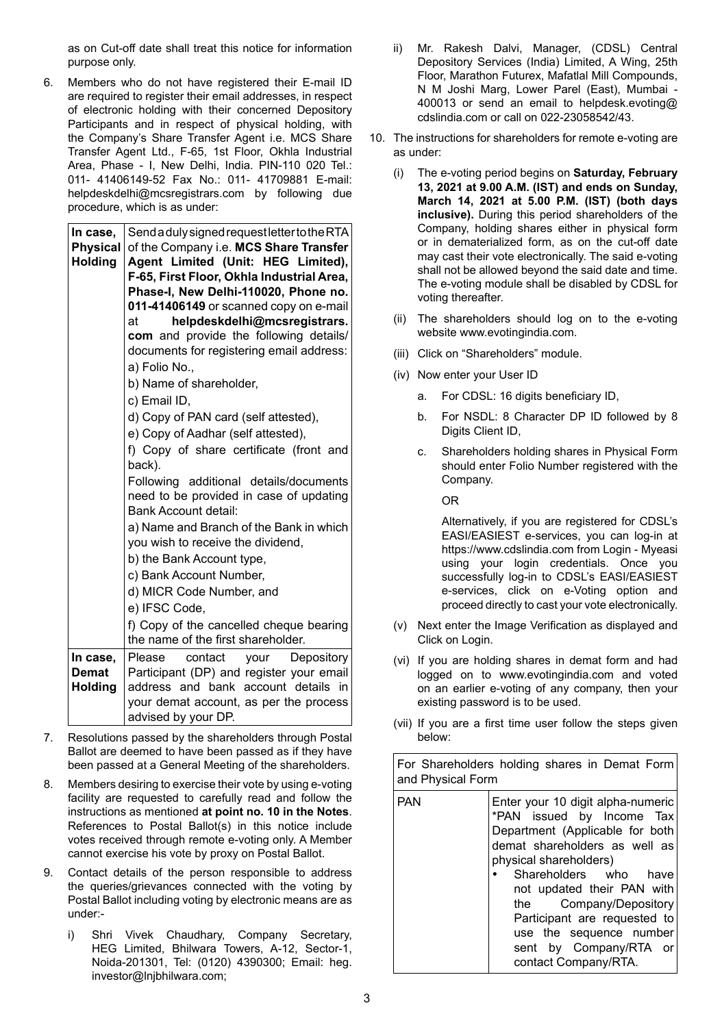as on Cut-off date shall treat this notice for information purpose only.

6. Members who do not have registered their E-mail ID are required to register their email addresses, in respect of electronic holding with their concerned Depository Participants and in respect of physical holding, with the Company's Share Transfer Agent i.e. MCS Share Transfer Agent Ltd., F-65, 1st Floor, Okhla Industrial Area, Phase - I, New Delhi, India. PIN-110 020 Tel.: 011- 41406149-52 Fax No.: 011- 41709881 E-mail: helpdeskdelhi@mcsregistrars.com by following due procedure, which is as under:

| In case,                          | Send a duly signed request letter to the RTA                                                                     |  |
|-----------------------------------|------------------------------------------------------------------------------------------------------------------|--|
| <b>Physical</b><br><b>Holding</b> | of the Company i.e. MCS Share Transfer<br>Agent Limited (Unit: HEG Limited),                                     |  |
|                                   | F-65, First Floor, Okhla Industrial Area,                                                                        |  |
|                                   | Phase-I, New Delhi-110020, Phone no.                                                                             |  |
|                                   | 011-41406149 or scanned copy on e-mail                                                                           |  |
|                                   | helpdeskdelhi@mcsregistrars.<br>at                                                                               |  |
|                                   | com and provide the following details/                                                                           |  |
|                                   | documents for registering email address:                                                                         |  |
|                                   | a) Folio No.,                                                                                                    |  |
|                                   | b) Name of shareholder,                                                                                          |  |
|                                   | c) Email ID,                                                                                                     |  |
|                                   | d) Copy of PAN card (self attested),                                                                             |  |
|                                   | e) Copy of Aadhar (self attested),                                                                               |  |
|                                   | f) Copy of share certificate (front and<br>back).                                                                |  |
|                                   | Following additional details/documents<br>need to be provided in case of updating<br><b>Bank Account detail:</b> |  |
|                                   | a) Name and Branch of the Bank in which<br>you wish to receive the dividend,                                     |  |
|                                   | b) the Bank Account type,                                                                                        |  |
|                                   | c) Bank Account Number,                                                                                          |  |
|                                   | d) MICR Code Number, and                                                                                         |  |
|                                   | e) IFSC Code,                                                                                                    |  |
|                                   | f) Copy of the cancelled cheque bearing                                                                          |  |
|                                   | the name of the first shareholder.                                                                               |  |
| In case,                          | Please<br>contact<br>Depository<br>your                                                                          |  |
| <b>Demat</b>                      | Participant (DP) and register your email                                                                         |  |
| <b>Holding</b>                    | address and bank account details in                                                                              |  |
|                                   | your demat account, as per the process                                                                           |  |
|                                   | advised by your DP.                                                                                              |  |

- 7. Resolutions passed by the shareholders through Postal Ballot are deemed to have been passed as if they have been passed at a General Meeting of the shareholders.
- 8. Members desiring to exercise their vote by using e-voting facility are requested to carefully read and follow the instructions as mentioned **at point no. 10 in the Notes**. References to Postal Ballot(s) in this notice include votes received through remote e-voting only. A Member cannot exercise his vote by proxy on Postal Ballot.
- 9. Contact details of the person responsible to address the queries/grievances connected with the voting by Postal Ballot including voting by electronic means are as under:
	- i) Shri Vivek Chaudhary, Company Secretary, HEG Limited, Bhilwara Towers, A-12, Sector-1, Noida-201301, Tel: (0120) 4390300; Email: heg. investor@lnjbhilwara.com;
- ii) Mr. Rakesh Dalvi, Manager, (CDSL) Central Depository Services (India) Limited, A Wing, 25th Floor, Marathon Futurex, Mafatlal Mill Compounds, N M Joshi Marg, Lower Parel (East), Mumbai - 400013 or send an email to helpdesk.evoting@ cdslindia.com or call on 022-23058542/43.
- 10. The instructions for shareholders for remote e-voting are as under:
	- (i) The e-voting period begins on **Saturday, February 13, 2021 at 9.00 A.M. (IST) and ends on Sunday, March 14, 2021 at 5.00 P.M. (IST) (both days inclusive).** During this period shareholders of the Company, holding shares either in physical form or in dematerialized form, as on the cut-off date may cast their vote electronically. The said e-voting shall not be allowed beyond the said date and time. The e-voting module shall be disabled by CDSL for voting thereafter.
	- (ii) The shareholders should log on to the e-voting website www.evotingindia.com.
	- (iii) Click on "Shareholders" module.
	- (iv) Now enter your User ID
		- a. For CDSL: 16 digits beneficiary ID,
		- b. For NSDL: 8 Character DP ID followed by 8 Digits Client ID,
		- c. Shareholders holding shares in Physical Form should enter Folio Number registered with the Company.

OR

Alternatively, if you are registered for CDSL's EASI/EASIEST e-services, you can log-in at https://www.cdslindia.com from Login - Myeasi using your login credentials. Once you successfully log-in to CDSL's EASI/EASIEST e-services, click on e-Voting option and proceed directly to cast your vote electronically.

- (v) Next enter the Image Verification as displayed and Click on Login.
- (vi) If you are holding shares in demat form and had logged on to www.evotingindia.com and voted on an earlier e-voting of any company, then your existing password is to be used.
- (vii) If you are a first time user follow the steps given below:

For Shareholders holding shares in Demat Form and Physical Form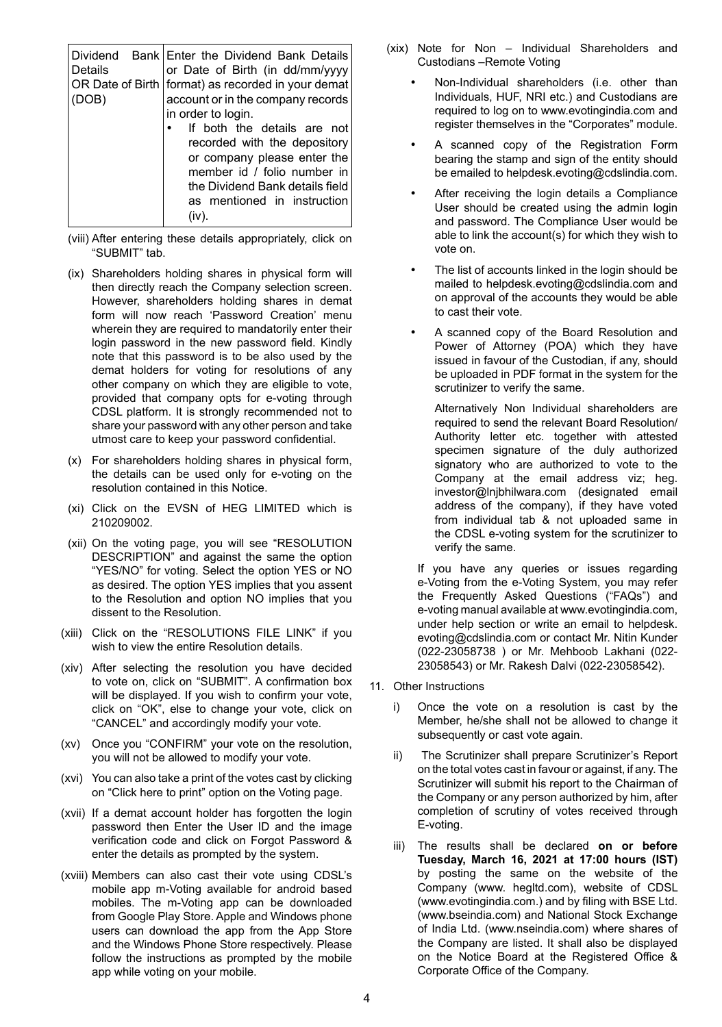| Details<br>(DOB) | Dividend Bank Enter the Dividend Bank Details<br>or Date of Birth (in dd/mm/yyyy<br>OR Date of Birth   format) as recorded in your demat<br>account or in the company records<br>in order to login.<br>If both the details are not<br>recorded with the depository<br>or company please enter the<br>member id / folio number in<br>the Dividend Bank details field |
|------------------|---------------------------------------------------------------------------------------------------------------------------------------------------------------------------------------------------------------------------------------------------------------------------------------------------------------------------------------------------------------------|
|                  | as mentioned in instruction<br>(iv)                                                                                                                                                                                                                                                                                                                                 |
|                  |                                                                                                                                                                                                                                                                                                                                                                     |

- (viii) After entering these details appropriately, click on "SUBMIT" tab.
- (ix) Shareholders holding shares in physical form will then directly reach the Company selection screen. However, shareholders holding shares in demat form will now reach 'Password Creation' menu wherein they are required to mandatorily enter their login password in the new password field. Kindly note that this password is to be also used by the demat holders for voting for resolutions of any other company on which they are eligible to vote, provided that company opts for e-voting through CDSL platform. It is strongly recommended not to share your password with any other person and take utmost care to keep your password confidential.
- (x) For shareholders holding shares in physical form, the details can be used only for e-voting on the resolution contained in this Notice.
- (xi) Click on the EVSN of HEG LIMITED which is 210209002.
- (xii) On the voting page, you will see "RESOLUTION DESCRIPTION" and against the same the option "YES/NO" for voting. Select the option YES or NO as desired. The option YES implies that you assent to the Resolution and option NO implies that you dissent to the Resolution.
- (xiii) Click on the "RESOLUTIONS FILE LINK" if you wish to view the entire Resolution details.
- (xiv) After selecting the resolution you have decided to vote on, click on "SUBMIT". A confirmation box will be displayed. If you wish to confirm your vote, click on "OK", else to change your vote, click on "CANCEL" and accordingly modify your vote.
- (xv) Once you "CONFIRM" your vote on the resolution, you will not be allowed to modify your vote.
- (xvi) You can also take a print of the votes cast by clicking on "Click here to print" option on the Voting page.
- (xvii) If a demat account holder has forgotten the login password then Enter the User ID and the image verification code and click on Forgot Password & enter the details as prompted by the system.
- (xviii) Members can also cast their vote using CDSL's mobile app m-Voting available for android based mobiles. The m-Voting app can be downloaded from Google Play Store. Apple and Windows phone users can download the app from the App Store and the Windows Phone Store respectively. Please follow the instructions as prompted by the mobile app while voting on your mobile.
- (xix) Note for Non Individual Shareholders and Custodians –Remote Voting
	- Non-Individual shareholders (i.e. other than Individuals, HUF, NRI etc.) and Custodians are required to log on to www.evotingindia.com and register themselves in the "Corporates" module.
	- A scanned copy of the Registration Form bearing the stamp and sign of the entity should be emailed to helpdesk.evoting@cdslindia.com.
	- After receiving the login details a Compliance User should be created using the admin login and password. The Compliance User would be able to link the account(s) for which they wish to vote on.
	- The list of accounts linked in the login should be mailed to helpdesk.evoting@cdslindia.com and on approval of the accounts they would be able to cast their vote.
	- A scanned copy of the Board Resolution and Power of Attorney (POA) which they have issued in favour of the Custodian, if any, should be uploaded in PDF format in the system for the scrutinizer to verify the same.

 Alternatively Non Individual shareholders are required to send the relevant Board Resolution/ Authority letter etc. together with attested specimen signature of the duly authorized signatory who are authorized to vote to the Company at the email address viz; heg. investor@lnjbhilwara.com (designated email address of the company), if they have voted from individual tab & not uploaded same in the CDSL e-voting system for the scrutinizer to verify the same.

If you have any queries or issues regarding e-Voting from the e-Voting System, you may refer the Frequently Asked Questions ("FAQs") and e-voting manual available at www.evotingindia.com, under help section or write an email to helpdesk. evoting@cdslindia.com or contact Mr. Nitin Kunder (022-23058738 ) or Mr. Mehboob Lakhani (022- 23058543) or Mr. Rakesh Dalvi (022-23058542).

- 11. Other Instructions
	- i) Once the vote on a resolution is cast by the Member, he/she shall not be allowed to change it subsequently or cast vote again.
	- ii) The Scrutinizer shall prepare Scrutinizer's Report on the total votes cast in favour or against, if any. The Scrutinizer will submit his report to the Chairman of the Company or any person authorized by him, after completion of scrutiny of votes received through E-voting.
	- iii) The results shall be declared **on or before Tuesday, March 16, 2021 at 17:00 hours (IST)** by posting the same on the website of the Company (www. hegltd.com), website of CDSL (www.evotingindia.com.) and by filing with BSE Ltd. (www.bseindia.com) and National Stock Exchange of India Ltd. (www.nseindia.com) where shares of the Company are listed. It shall also be displayed on the Notice Board at the Registered Office & Corporate Office of the Company.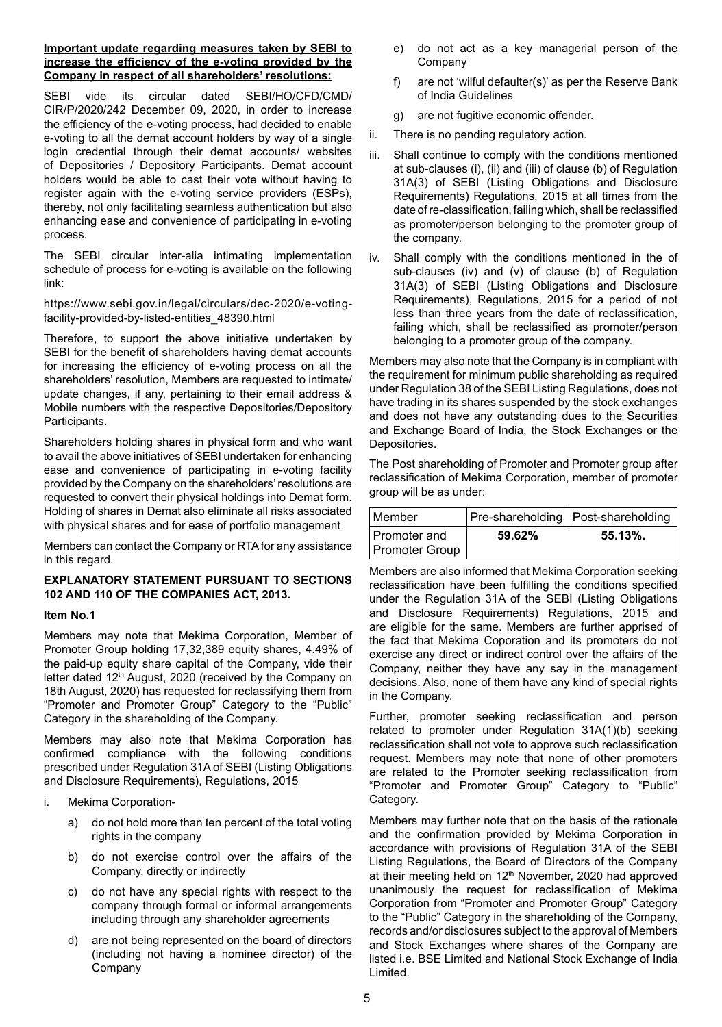# **Important update regarding measures taken by SEBI to increase the efficiency of the e-voting provided by the Company in respect of all shareholders' resolutions:**

SEBI vide its circular dated SEBI/HO/CFD/CMD/ CIR/P/2020/242 December 09, 2020, in order to increase the efficiency of the e-voting process, had decided to enable e-voting to all the demat account holders by way of a single login credential through their demat accounts/ websites of Depositories / Depository Participants. Demat account holders would be able to cast their vote without having to register again with the e-voting service providers (ESPs), thereby, not only facilitating seamless authentication but also enhancing ease and convenience of participating in e-voting process.

The SEBI circular inter-alia intimating implementation schedule of process for e-voting is available on the following link:

https://www.sebi.gov.in/legal/circulars/dec-2020/e-votingfacility-provided-by-listed-entities\_48390.html

Therefore, to support the above initiative undertaken by SEBI for the benefit of shareholders having demat accounts for increasing the efficiency of e-voting process on all the shareholders' resolution, Members are requested to intimate/ update changes, if any, pertaining to their email address & Mobile numbers with the respective Depositories/Depository Participants.

Shareholders holding shares in physical form and who want to avail the above initiatives of SEBI undertaken for enhancing ease and convenience of participating in e-voting facility provided by the Company on the shareholders' resolutions are requested to convert their physical holdings into Demat form. Holding of shares in Demat also eliminate all risks associated with physical shares and for ease of portfolio management

Members can contact the Company or RTA for any assistance in this regard.

# **EXPLANATORY STATEMENT PURSUANT TO SECTIONS 102 AND 110 OF THE COMPANIES ACT, 2013.**

# **Item No.1**

Members may note that Mekima Corporation, Member of Promoter Group holding 17,32,389 equity shares, 4.49% of the paid-up equity share capital of the Company, vide their letter dated 12<sup>th</sup> August, 2020 (received by the Company on 18th August, 2020) has requested for reclassifying them from "Promoter and Promoter Group" Category to the "Public" Category in the shareholding of the Company.

Members may also note that Mekima Corporation has confirmed compliance with the following conditions prescribed under Regulation 31A of SEBI (Listing Obligations and Disclosure Requirements), Regulations, 2015

- i. Mekima Corporation
	- a) do not hold more than ten percent of the total voting rights in the company
	- b) do not exercise control over the affairs of the Company, directly or indirectly
	- c) do not have any special rights with respect to the company through formal or informal arrangements including through any shareholder agreements
	- d) are not being represented on the board of directors (including not having a nominee director) of the Company
- e) do not act as a key managerial person of the Company
- f) are not 'wilful defaulter(s)' as per the Reserve Bank of India Guidelines
- g) are not fugitive economic offender.
- ii. There is no pending regulatory action.
- iii. Shall continue to comply with the conditions mentioned at sub-clauses (i), (ii) and (iii) of clause (b) of Regulation 31A(3) of SEBI (Listing Obligations and Disclosure Requirements) Regulations, 2015 at all times from the date of re-classification, failing which, shall be reclassified as promoter/person belonging to the promoter group of the company.
- iv. Shall comply with the conditions mentioned in the of sub-clauses (iv) and (v) of clause (b) of Regulation 31A(3) of SEBI (Listing Obligations and Disclosure Requirements), Regulations, 2015 for a period of not less than three years from the date of reclassification, failing which, shall be reclassified as promoter/person belonging to a promoter group of the company.

Members may also note that the Company is in compliant with the requirement for minimum public shareholding as required under Regulation 38 of the SEBI Listing Regulations, does not have trading in its shares suspended by the stock exchanges and does not have any outstanding dues to the Securities and Exchange Board of India, the Stock Exchanges or the Depositories.

The Post shareholding of Promoter and Promoter group after reclassification of Mekima Corporation, member of promoter group will be as under:

| Member                         |        | Pre-shareholding   Post-shareholding |
|--------------------------------|--------|--------------------------------------|
| Promoter and<br>Promoter Group | 59.62% | $55.13\%$ .                          |

Members are also informed that Mekima Corporation seeking reclassification have been fulfilling the conditions specified under the Regulation 31A of the SEBI (Listing Obligations and Disclosure Requirements) Regulations, 2015 and are eligible for the same. Members are further apprised of the fact that Mekima Coporation and its promoters do not exercise any direct or indirect control over the affairs of the Company, neither they have any say in the management decisions. Also, none of them have any kind of special rights in the Company.

Further, promoter seeking reclassification and person related to promoter under Regulation 31A(1)(b) seeking reclassification shall not vote to approve such reclassification request. Members may note that none of other promoters are related to the Promoter seeking reclassification from "Promoter and Promoter Group" Category to "Public" Category.

Members may further note that on the basis of the rationale and the confirmation provided by Mekima Corporation in accordance with provisions of Regulation 31A of the SEBI Listing Regulations, the Board of Directors of the Company at their meeting held on 12<sup>th</sup> November, 2020 had approved unanimously the request for reclassification of Mekima Corporation from "Promoter and Promoter Group" Category to the "Public" Category in the shareholding of the Company, records and/or disclosures subject to the approval of Members and Stock Exchanges where shares of the Company are listed i.e. BSE Limited and National Stock Exchange of India Limited.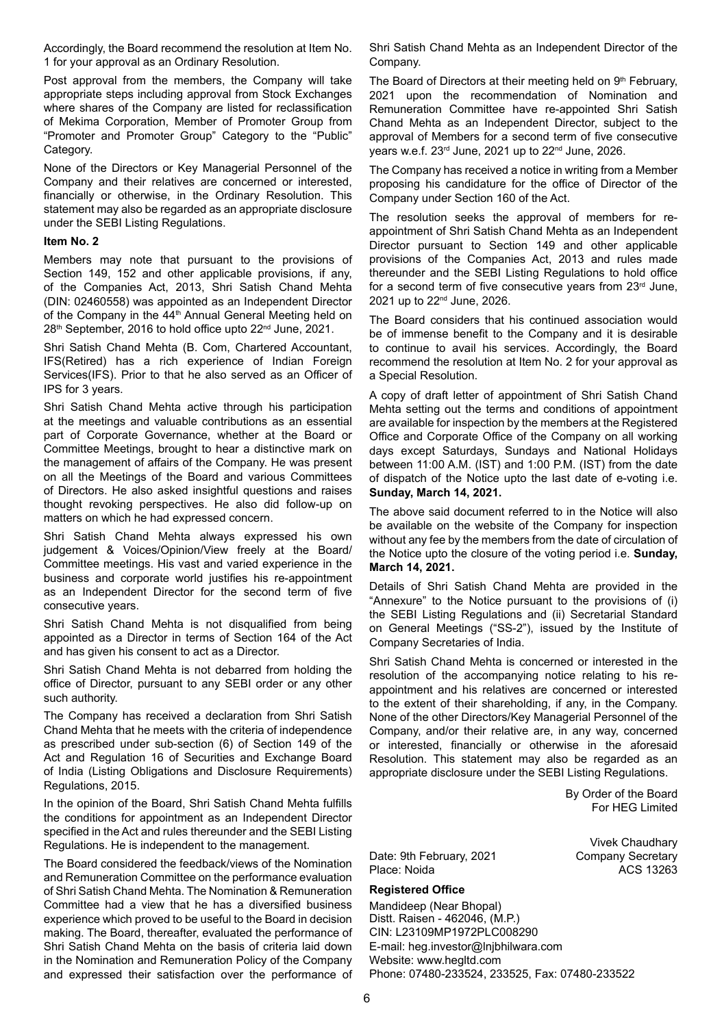Accordingly, the Board recommend the resolution at Item No. 1 for your approval as an Ordinary Resolution.

Post approval from the members, the Company will take appropriate steps including approval from Stock Exchanges where shares of the Company are listed for reclassification of Mekima Corporation, Member of Promoter Group from "Promoter and Promoter Group" Category to the "Public" Category.

None of the Directors or Key Managerial Personnel of the Company and their relatives are concerned or interested, financially or otherwise, in the Ordinary Resolution. This statement may also be regarded as an appropriate disclosure under the SEBI Listing Regulations.

#### **Item No. 2**

Members may note that pursuant to the provisions of Section 149, 152 and other applicable provisions, if any, of the Companies Act, 2013, Shri Satish Chand Mehta (DIN: 02460558) was appointed as an Independent Director of the Company in the 44<sup>th</sup> Annual General Meeting held on 28<sup>th</sup> September, 2016 to hold office upto 22<sup>nd</sup> June, 2021.

Shri Satish Chand Mehta (B. Com, Chartered Accountant, IFS(Retired) has a rich experience of Indian Foreign Services(IFS). Prior to that he also served as an Officer of IPS for 3 years.

Shri Satish Chand Mehta active through his participation at the meetings and valuable contributions as an essential part of Corporate Governance, whether at the Board or Committee Meetings, brought to hear a distinctive mark on the management of affairs of the Company. He was present on all the Meetings of the Board and various Committees of Directors. He also asked insightful questions and raises thought revoking perspectives. He also did follow-up on matters on which he had expressed concern.

Shri Satish Chand Mehta always expressed his own judgement & Voices/Opinion/View freely at the Board/ Committee meetings. His vast and varied experience in the business and corporate world justifies his re-appointment as an Independent Director for the second term of five consecutive years.

Shri Satish Chand Mehta is not disqualified from being appointed as a Director in terms of Section 164 of the Act and has given his consent to act as a Director.

Shri Satish Chand Mehta is not debarred from holding the office of Director, pursuant to any SEBI order or any other such authority.

The Company has received a declaration from Shri Satish Chand Mehta that he meets with the criteria of independence as prescribed under sub-section (6) of Section 149 of the Act and Regulation 16 of Securities and Exchange Board of India (Listing Obligations and Disclosure Requirements) Regulations, 2015.

In the opinion of the Board, Shri Satish Chand Mehta fulfills the conditions for appointment as an Independent Director specified in the Act and rules thereunder and the SEBI Listing Regulations. He is independent to the management.

The Board considered the feedback/views of the Nomination and Remuneration Committee on the performance evaluation of Shri Satish Chand Mehta. The Nomination & Remuneration Committee had a view that he has a diversified business experience which proved to be useful to the Board in decision making. The Board, thereafter, evaluated the performance of Shri Satish Chand Mehta on the basis of criteria laid down in the Nomination and Remuneration Policy of the Company and expressed their satisfaction over the performance of

Shri Satish Chand Mehta as an Independent Director of the Company.

The Board of Directors at their meeting held on 9<sup>th</sup> February, 2021 upon the recommendation of Nomination and Remuneration Committee have re-appointed Shri Satish Chand Mehta as an Independent Director, subject to the approval of Members for a second term of five consecutive years w.e.f. 23rd June, 2021 up to 22nd June, 2026.

The Company has received a notice in writing from a Member proposing his candidature for the office of Director of the Company under Section 160 of the Act.

The resolution seeks the approval of members for reappointment of Shri Satish Chand Mehta as an Independent Director pursuant to Section 149 and other applicable provisions of the Companies Act, 2013 and rules made thereunder and the SEBI Listing Regulations to hold office for a second term of five consecutive years from  $23<sup>rd</sup>$  June, 2021 up to 22nd June, 2026.

The Board considers that his continued association would be of immense benefit to the Company and it is desirable to continue to avail his services. Accordingly, the Board recommend the resolution at Item No. 2 for your approval as a Special Resolution.

A copy of draft letter of appointment of Shri Satish Chand Mehta setting out the terms and conditions of appointment are available for inspection by the members at the Registered Office and Corporate Office of the Company on all working days except Saturdays, Sundays and National Holidays between 11:00 A.M. (IST) and 1:00 P.M. (IST) from the date of dispatch of the Notice upto the last date of e-voting i.e. **Sunday, March 14, 2021.**

The above said document referred to in the Notice will also be available on the website of the Company for inspection without any fee by the members from the date of circulation of the Notice upto the closure of the voting period i.e. **Sunday, March 14, 2021.**

Details of Shri Satish Chand Mehta are provided in the "Annexure" to the Notice pursuant to the provisions of (i) the SEBI Listing Regulations and (ii) Secretarial Standard on General Meetings ("SS-2"), issued by the Institute of Company Secretaries of India.

Shri Satish Chand Mehta is concerned or interested in the resolution of the accompanying notice relating to his reappointment and his relatives are concerned or interested to the extent of their shareholding, if any, in the Company. None of the other Directors/Key Managerial Personnel of the Company, and/or their relative are, in any way, concerned or interested, financially or otherwise in the aforesaid Resolution. This statement may also be regarded as an appropriate disclosure under the SEBI Listing Regulations.

> By Order of the Board For HEG Limited

> > Vivek Chaudhary

Date: 9th February, 2021 Company Secretary Place: Noida **ACS** 13263

# **Registered Office**

Mandideep (Near Bhopal) Distt. Raisen - 462046, (M.P.) CIN: L23109MP1972PLC008290 E-mail: heg.investor@lnjbhilwara.com Website: www.hegltd.com Phone: 07480-233524, 233525, Fax: 07480-233522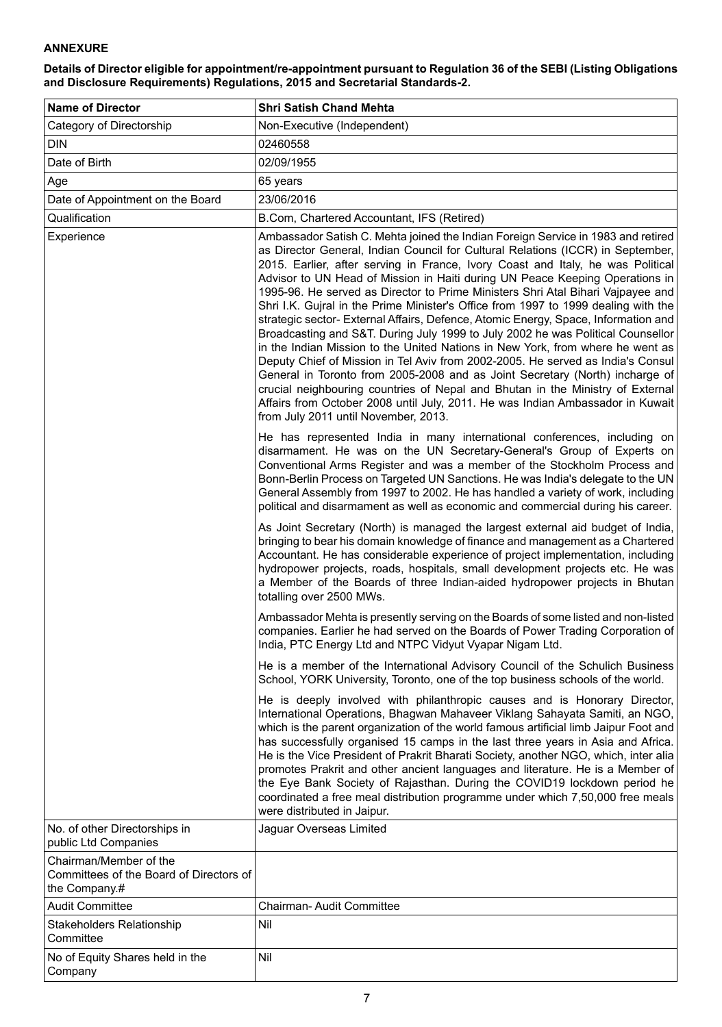# **Annexure**

**Details of Director eligible for appointment/re-appointment pursuant to Regulation 36 of the SEBI (Listing Obligations and Disclosure Requirements) Regulations, 2015 and Secretarial Standards-2.**

| <b>Name of Director</b>                                                            | <b>Shri Satish Chand Mehta</b>                                                                                                                                                                                                                                                                                                                                                                                                                                                                                                                                                                                                                                                                                                                                                                                                                                                                                                                                                                                                                                                                                                                            |
|------------------------------------------------------------------------------------|-----------------------------------------------------------------------------------------------------------------------------------------------------------------------------------------------------------------------------------------------------------------------------------------------------------------------------------------------------------------------------------------------------------------------------------------------------------------------------------------------------------------------------------------------------------------------------------------------------------------------------------------------------------------------------------------------------------------------------------------------------------------------------------------------------------------------------------------------------------------------------------------------------------------------------------------------------------------------------------------------------------------------------------------------------------------------------------------------------------------------------------------------------------|
| Category of Directorship                                                           | Non-Executive (Independent)                                                                                                                                                                                                                                                                                                                                                                                                                                                                                                                                                                                                                                                                                                                                                                                                                                                                                                                                                                                                                                                                                                                               |
| <b>DIN</b>                                                                         | 02460558                                                                                                                                                                                                                                                                                                                                                                                                                                                                                                                                                                                                                                                                                                                                                                                                                                                                                                                                                                                                                                                                                                                                                  |
| Date of Birth                                                                      | 02/09/1955                                                                                                                                                                                                                                                                                                                                                                                                                                                                                                                                                                                                                                                                                                                                                                                                                                                                                                                                                                                                                                                                                                                                                |
| Age                                                                                | 65 years                                                                                                                                                                                                                                                                                                                                                                                                                                                                                                                                                                                                                                                                                                                                                                                                                                                                                                                                                                                                                                                                                                                                                  |
| Date of Appointment on the Board                                                   | 23/06/2016                                                                                                                                                                                                                                                                                                                                                                                                                                                                                                                                                                                                                                                                                                                                                                                                                                                                                                                                                                                                                                                                                                                                                |
| Qualification                                                                      | B.Com, Chartered Accountant, IFS (Retired)                                                                                                                                                                                                                                                                                                                                                                                                                                                                                                                                                                                                                                                                                                                                                                                                                                                                                                                                                                                                                                                                                                                |
| Experience                                                                         | Ambassador Satish C. Mehta joined the Indian Foreign Service in 1983 and retired<br>as Director General, Indian Council for Cultural Relations (ICCR) in September,<br>2015. Earlier, after serving in France, Ivory Coast and Italy, he was Political<br>Advisor to UN Head of Mission in Haiti during UN Peace Keeping Operations in<br>1995-96. He served as Director to Prime Ministers Shri Atal Bihari Vajpayee and<br>Shri I.K. Gujral in the Prime Minister's Office from 1997 to 1999 dealing with the<br>strategic sector- External Affairs, Defence, Atomic Energy, Space, Information and<br>Broadcasting and S&T. During July 1999 to July 2002 he was Political Counsellor<br>in the Indian Mission to the United Nations in New York, from where he went as<br>Deputy Chief of Mission in Tel Aviv from 2002-2005. He served as India's Consul<br>General in Toronto from 2005-2008 and as Joint Secretary (North) incharge of<br>crucial neighbouring countries of Nepal and Bhutan in the Ministry of External<br>Affairs from October 2008 until July, 2011. He was Indian Ambassador in Kuwait<br>from July 2011 until November, 2013. |
|                                                                                    | He has represented India in many international conferences, including on<br>disarmament. He was on the UN Secretary-General's Group of Experts on<br>Conventional Arms Register and was a member of the Stockholm Process and<br>Bonn-Berlin Process on Targeted UN Sanctions. He was India's delegate to the UN<br>General Assembly from 1997 to 2002. He has handled a variety of work, including<br>political and disarmament as well as economic and commercial during his career.                                                                                                                                                                                                                                                                                                                                                                                                                                                                                                                                                                                                                                                                    |
|                                                                                    | As Joint Secretary (North) is managed the largest external aid budget of India,<br>bringing to bear his domain knowledge of finance and management as a Chartered<br>Accountant. He has considerable experience of project implementation, including<br>hydropower projects, roads, hospitals, small development projects etc. He was<br>a Member of the Boards of three Indian-aided hydropower projects in Bhutan<br>totalling over 2500 MWs.                                                                                                                                                                                                                                                                                                                                                                                                                                                                                                                                                                                                                                                                                                           |
|                                                                                    | Ambassador Mehta is presently serving on the Boards of some listed and non-listed<br>companies. Earlier he had served on the Boards of Power Trading Corporation of<br>India, PTC Energy Ltd and NTPC Vidyut Vyapar Nigam Ltd.                                                                                                                                                                                                                                                                                                                                                                                                                                                                                                                                                                                                                                                                                                                                                                                                                                                                                                                            |
|                                                                                    | He is a member of the International Advisory Council of the Schulich Business<br>School, YORK University, Toronto, one of the top business schools of the world.                                                                                                                                                                                                                                                                                                                                                                                                                                                                                                                                                                                                                                                                                                                                                                                                                                                                                                                                                                                          |
|                                                                                    | He is deeply involved with philanthropic causes and is Honorary Director,<br>International Operations, Bhagwan Mahaveer Viklang Sahayata Samiti, an NGO,<br>which is the parent organization of the world famous artificial limb Jaipur Foot and<br>has successfully organised 15 camps in the last three years in Asia and Africa.<br>He is the Vice President of Prakrit Bharati Society, another NGO, which, inter alia<br>promotes Prakrit and other ancient languages and literature. He is a Member of<br>the Eye Bank Society of Rajasthan. During the COVID19 lockdown period he<br>coordinated a free meal distribution programme under which 7,50,000 free meals<br>were distributed in Jaipur.                                                                                                                                                                                                                                                                                                                                                                                                                                                 |
| No. of other Directorships in<br>public Ltd Companies                              | Jaguar Overseas Limited                                                                                                                                                                                                                                                                                                                                                                                                                                                                                                                                                                                                                                                                                                                                                                                                                                                                                                                                                                                                                                                                                                                                   |
| Chairman/Member of the<br>Committees of the Board of Directors of<br>the Company.# |                                                                                                                                                                                                                                                                                                                                                                                                                                                                                                                                                                                                                                                                                                                                                                                                                                                                                                                                                                                                                                                                                                                                                           |
| <b>Audit Committee</b>                                                             | <b>Chairman-Audit Committee</b>                                                                                                                                                                                                                                                                                                                                                                                                                                                                                                                                                                                                                                                                                                                                                                                                                                                                                                                                                                                                                                                                                                                           |
| Stakeholders Relationship<br>Committee                                             | Nil                                                                                                                                                                                                                                                                                                                                                                                                                                                                                                                                                                                                                                                                                                                                                                                                                                                                                                                                                                                                                                                                                                                                                       |
| No of Equity Shares held in the<br>Company                                         | Nil                                                                                                                                                                                                                                                                                                                                                                                                                                                                                                                                                                                                                                                                                                                                                                                                                                                                                                                                                                                                                                                                                                                                                       |